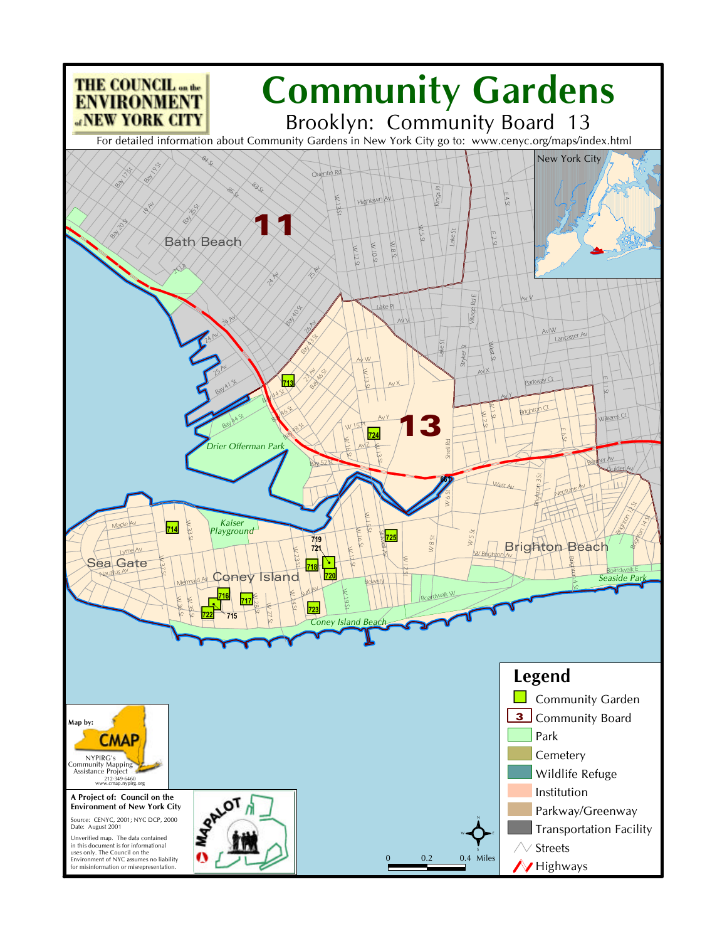